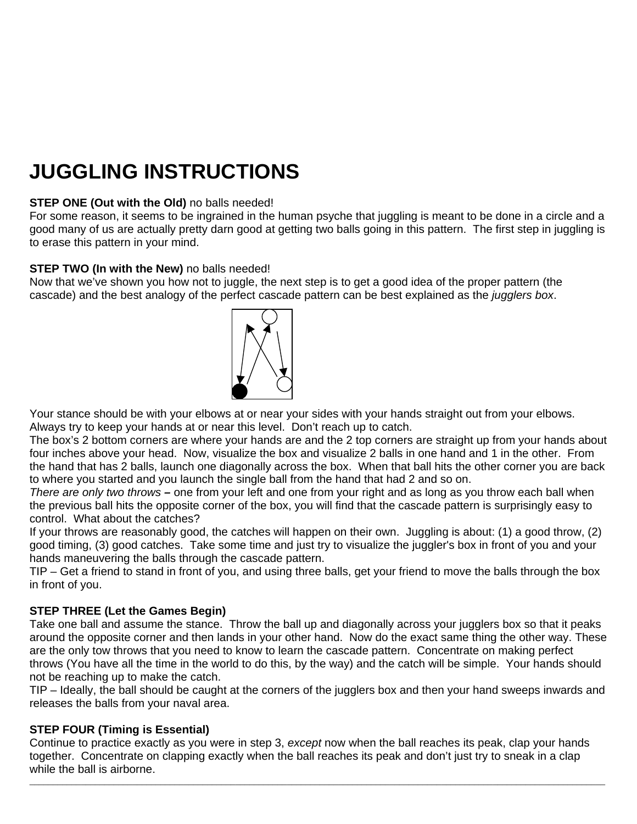# **JUGGLING INSTRUCTIONS**

## **STEP ONE (Out with the Old)** no balls needed!

For some reason, it seems to be ingrained in the human psyche that juggling is meant to be done in a circle and a good many of us are actually pretty darn good at getting two balls going in this pattern. The first step in juggling is to erase this pattern in your mind.

#### **STEP TWO (In with the New)** no balls needed!

Now that we've shown you how not to juggle, the next step is to get a good idea of the proper pattern (the cascade) and the best analogy of the perfect cascade pattern can be best explained as the *jugglers box*.



Your stance should be with your elbows at or near your sides with your hands straight out from your elbows. Always try to keep your hands at or near this level. Don't reach up to catch.

The box's 2 bottom corners are where your hands are and the 2 top corners are straight up from your hands about four inches above your head. Now, visualize the box and visualize 2 balls in one hand and 1 in the other. From the hand that has 2 balls, launch one diagonally across the box. When that ball hits the other corner you are back to where you started and you launch the single ball from the hand that had 2 and so on.

*There are only two throws –* one from your left and one from your right and as long as you throw each ball when the previous ball hits the opposite corner of the box, you will find that the cascade pattern is surprisingly easy to control. What about the catches?

If your throws are reasonably good, the catches will happen on their own. Juggling is about: (1) a good throw, (2) good timing, (3) good catches. Take some time and just try to visualize the juggler's box in front of you and your hands maneuvering the balls through the cascade pattern.

TIP – Get a friend to stand in front of you, and using three balls, get your friend to move the balls through the box in front of you.

# **STEP THREE (Let the Games Begin)**

Take one ball and assume the stance. Throw the ball up and diagonally across your jugglers box so that it peaks around the opposite corner and then lands in your other hand. Now do the exact same thing the other way. These are the only tow throws that you need to know to learn the cascade pattern. Concentrate on making perfect throws (You have all the time in the world to do this, by the way) and the catch will be simple. Your hands should not be reaching up to make the catch.

TIP – Ideally, the ball should be caught at the corners of the jugglers box and then your hand sweeps inwards and releases the balls from your naval area.

# **STEP FOUR (Timing is Essential)**

Continue to practice exactly as you were in step 3, *except* now when the ball reaches its peak, clap your hands together. Concentrate on clapping exactly when the ball reaches its peak and don't just try to sneak in a clap while the ball is airborne.

 $\bot$  , and the set of the set of the set of the set of the set of the set of the set of the set of the set of the set of the set of the set of the set of the set of the set of the set of the set of the set of the set of t